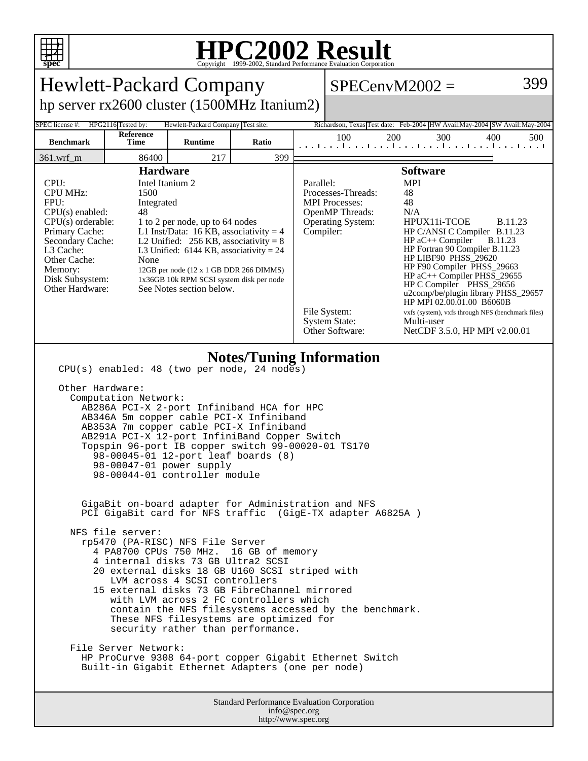

## **HPC2002 Result**

| spec<br>Copyright ©1999-2002, Standard Performance Evaluation Corporation                                                                                                                                                                                                                                                                                                                                                                                                                                                                                                                                                                                                                                                                                                                                                                                                                                                                                                                                                                                                                                                                                                                            |                   |                |       |  |                                                                                                                                                                                                                                                                                                                                                                                                                                                                                                                                                                                                                                                                     |     |     |                                                                 |
|------------------------------------------------------------------------------------------------------------------------------------------------------------------------------------------------------------------------------------------------------------------------------------------------------------------------------------------------------------------------------------------------------------------------------------------------------------------------------------------------------------------------------------------------------------------------------------------------------------------------------------------------------------------------------------------------------------------------------------------------------------------------------------------------------------------------------------------------------------------------------------------------------------------------------------------------------------------------------------------------------------------------------------------------------------------------------------------------------------------------------------------------------------------------------------------------------|-------------------|----------------|-------|--|---------------------------------------------------------------------------------------------------------------------------------------------------------------------------------------------------------------------------------------------------------------------------------------------------------------------------------------------------------------------------------------------------------------------------------------------------------------------------------------------------------------------------------------------------------------------------------------------------------------------------------------------------------------------|-----|-----|-----------------------------------------------------------------|
| 399<br><b>Hewlett-Packard Company</b><br>$SPECenvM2002 =$                                                                                                                                                                                                                                                                                                                                                                                                                                                                                                                                                                                                                                                                                                                                                                                                                                                                                                                                                                                                                                                                                                                                            |                   |                |       |  |                                                                                                                                                                                                                                                                                                                                                                                                                                                                                                                                                                                                                                                                     |     |     |                                                                 |
| hp server $rx2600$ cluster $(1500MHz$ Itanium2)                                                                                                                                                                                                                                                                                                                                                                                                                                                                                                                                                                                                                                                                                                                                                                                                                                                                                                                                                                                                                                                                                                                                                      |                   |                |       |  |                                                                                                                                                                                                                                                                                                                                                                                                                                                                                                                                                                                                                                                                     |     |     |                                                                 |
| HPG2116 Tested by:<br>Hewlett-Packard Company Test site:<br>Richardson, Texas Test date: Feb-2004 HW Avail:May-2004 SW Avail: May-2004<br>SPEC license #:                                                                                                                                                                                                                                                                                                                                                                                                                                                                                                                                                                                                                                                                                                                                                                                                                                                                                                                                                                                                                                            |                   |                |       |  |                                                                                                                                                                                                                                                                                                                                                                                                                                                                                                                                                                                                                                                                     |     |     |                                                                 |
| <b>Benchmark</b>                                                                                                                                                                                                                                                                                                                                                                                                                                                                                                                                                                                                                                                                                                                                                                                                                                                                                                                                                                                                                                                                                                                                                                                     | Reference<br>Time | <b>Runtime</b> | Ratio |  | 100                                                                                                                                                                                                                                                                                                                                                                                                                                                                                                                                                                                                                                                                 | 200 | 300 | 400<br>500<br>المتحا وتواجبوا وتواجبوا وتواجئ أحبوا وتوأ وتواجب |
| 361.wrf_m                                                                                                                                                                                                                                                                                                                                                                                                                                                                                                                                                                                                                                                                                                                                                                                                                                                                                                                                                                                                                                                                                                                                                                                            | 86400             | 217            | 399   |  |                                                                                                                                                                                                                                                                                                                                                                                                                                                                                                                                                                                                                                                                     |     |     |                                                                 |
| <b>Hardware</b><br>CPU:<br>Intel Itanium 2<br><b>CPU MHz:</b><br>1500<br>FPU:<br>Integrated<br>$CPU(s)$ enabled:<br>48<br>$CPU(s)$ orderable:<br>1 to 2 per node, up to 64 nodes<br>Primary Cache:<br>L1 Inst/Data: 16 KB, associativity = $4$<br>L2 Unified: $256$ KB, associativity = 8<br>Secondary Cache:<br>L3 Cache:<br>L3 Unified: $6144$ KB, associativity = 24<br>Other Cache:<br>None<br>Memory:<br>12GB per node (12 x 1 GB DDR 266 DIMMS)<br>Disk Subsystem:<br>1x36GB 10k RPM SCSI system disk per node<br>Other Hardware:<br>See Notes section below.                                                                                                                                                                                                                                                                                                                                                                                                                                                                                                                                                                                                                                  |                   |                |       |  | <b>Software</b><br><b>MPI</b><br>Parallel:<br>Processes-Threads:<br>48<br>48<br><b>MPI</b> Processes:<br>OpenMP Threads:<br>N/A<br>Operating System:<br>HPUX11i-TCOE<br><b>B.11.23</b><br>Compiler:<br>HP C/ANSI C Compiler B.11.23<br>$HP$ aC++ Compiler<br><b>B.11.23</b><br>HP Fortran 90 Compiler B.11.23<br>HP LIBF90 PHSS_29620<br>HP F90 Compiler PHSS_29663<br>$HP$ aC++ Compiler PHSS_29655<br>HP C Compiler PHSS 29656<br>u2comp/be/plugin library PHSS_29657<br>HP MPI 02.00.01.00 B6060B<br>File System:<br>vxfs (system), vxfs through NFS (benchmark files)<br><b>System State:</b><br>Multi-user<br>Other Software:<br>NetCDF 3.5.0, HP MPI v2.00.01 |     |     |                                                                 |
| <b>Notes/Tuning Information</b><br>CPU(s) enabled: 48 (two per node, 24 nodes)<br>Other Hardware:<br>Computation Network:<br>AB286A PCI-X 2-port Infiniband HCA for HPC<br>AB346A 5m copper cable PCI-X Infiniband<br>AB353A 7m copper cable PCI-X Infiniband<br>AB291A PCI-X 12-port InfiniBand Copper Switch<br>Topspin 96-port IB copper switch 99-00020-01 TS170<br>98-00045-01 12-port leaf boards (8)<br>98-00047-01 power supply<br>98-00044-01 controller module<br>GigaBit on-board adapter for Administration and NFS<br>PCI GigaBit card for NFS traffic (GigE-TX adapter A6825A)<br>NFS file server:<br>rp5470 (PA-RISC) NFS File Server<br>4 PA8700 CPUs 750 MHz. 16 GB of memory<br>4 internal disks 73 GB Ultra2 SCSI<br>20 external disks 18 GB U160 SCSI striped with<br>LVM across 4 SCSI controllers<br>15 external disks 73 GB FibreChannel mirrored<br>with LVM across 2 FC controllers which<br>contain the NFS filesystems accessed by the benchmark.<br>These NFS filesystems are optimized for<br>security rather than performance.<br>File Server Network:<br>HP ProCurve 9308 64-port copper Gigabit Ethernet Switch<br>Built-in Gigabit Ethernet Adapters (one per node) |                   |                |       |  |                                                                                                                                                                                                                                                                                                                                                                                                                                                                                                                                                                                                                                                                     |     |     |                                                                 |
| Standard Performance Evaluation Corporation<br>info@spec.org                                                                                                                                                                                                                                                                                                                                                                                                                                                                                                                                                                                                                                                                                                                                                                                                                                                                                                                                                                                                                                                                                                                                         |                   |                |       |  |                                                                                                                                                                                                                                                                                                                                                                                                                                                                                                                                                                                                                                                                     |     |     |                                                                 |

http://www.spec.org